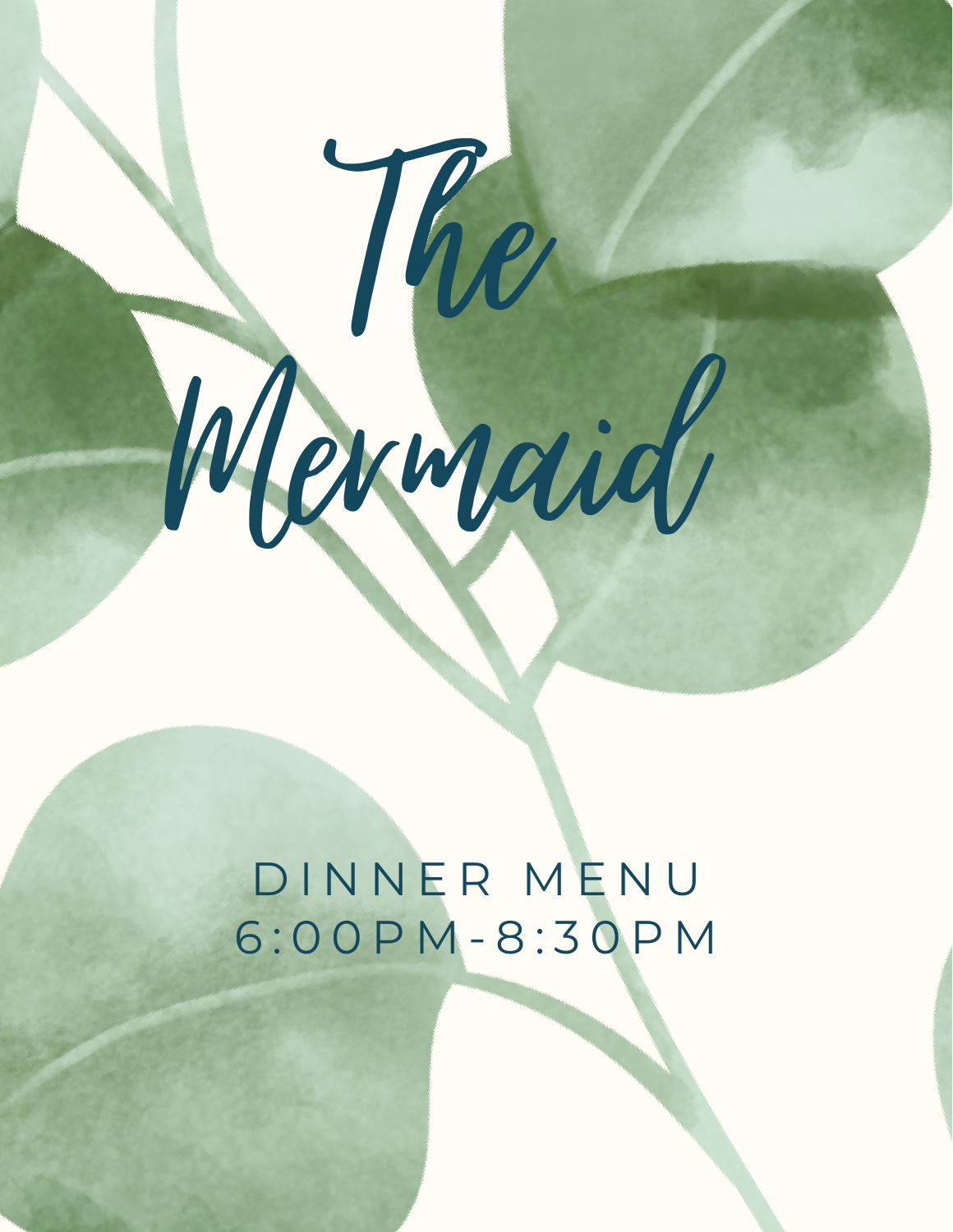

The

# D I N N E R M E N U 6 : 0 0 P M - 8 : 3 0 P M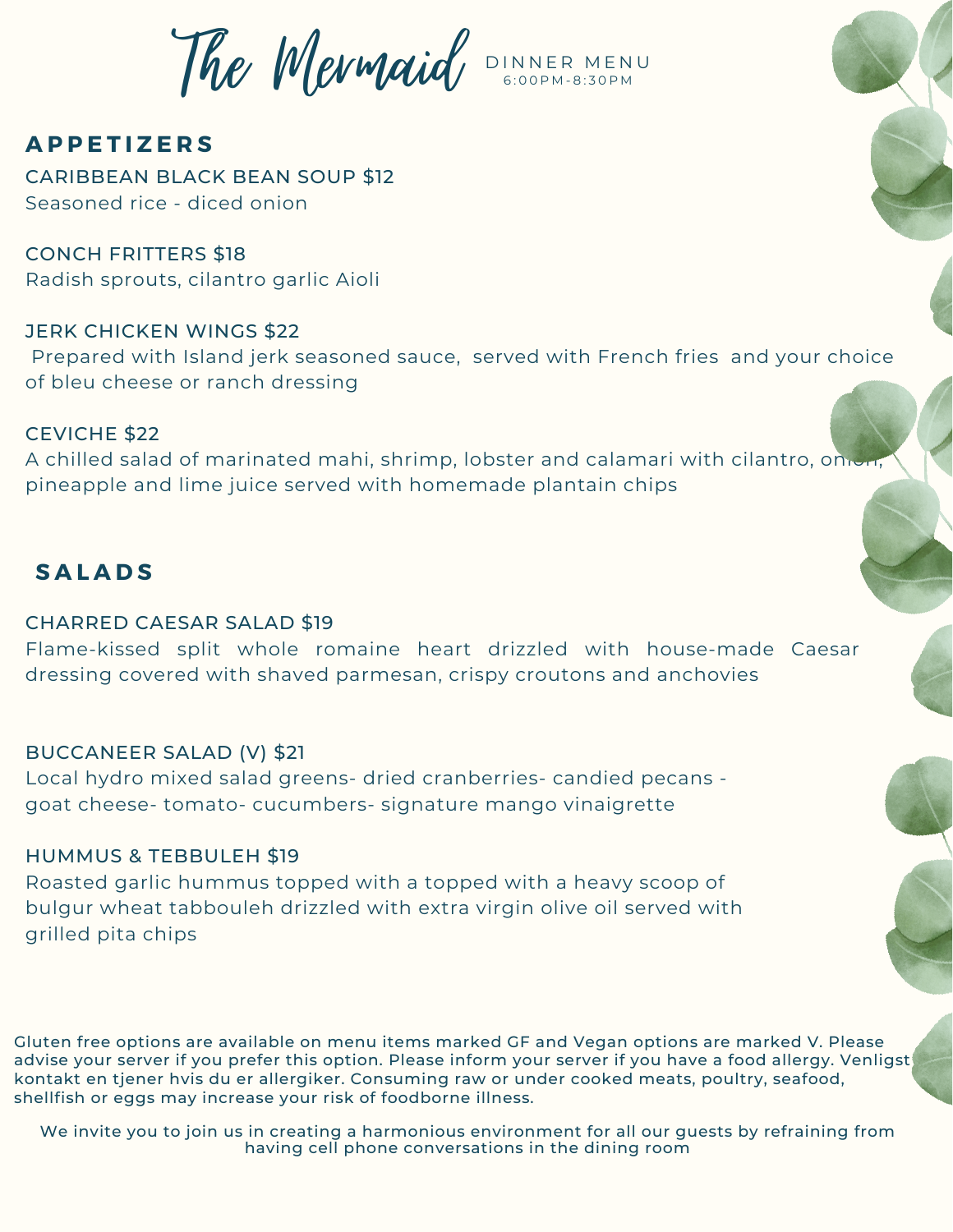The Mermaid D INNER MENU 6 : 0 0 P M - 8 : 3 0 P M

## **A P P E T I Z E R S**

CARIBBEAN BLACK BEAN SOUP \$12 Seasoned rice - diced onion

CONCH FRITTERS \$18 Radish sprouts, cilantro garlic Aioli

## JERK CHICKEN WINGS \$22

Prepared with Island jerk seasoned sauce, served with French fries and your choice of bleu cheese or ranch dressing

## CEVICHE \$22

A chilled salad of marinated mahi, shrimp, lobster and calamari with cilantro, onion, pineapple and lime juice served with homemade plantain chips

## **S A L A D S**

## CHARRED CAESAR SALAD \$19

Flame-kissed split whole romaine heart drizzled with house-made Caesar dressing covered with shaved parmesan, crispy croutons and anchovies

## BUCCANEER SALAD (V) \$21

Local hydro mixed salad greens- dried cranberries- candied pecans goat cheese- tomato- cucumbers- signature mango vinaigrette

## HUMMUS & TEBBULEH \$19

Roasted garlic hummus topped with a topped with a heavy scoop of bulgur wheat tabbouleh drizzled with extra virgin olive oil served with grilled pita chips

Gluten free options are available on menu items marked GF and Vegan options are marked V. Please advise your server if you prefer this option. Please inform your server if you have a food allergy. Venligst kontakt en tjener hvis du er allergiker. Consuming raw or under cooked meats, poultry, seafood, shellfish or eggs may increase your risk of foodborne illness.

We invite you to join us in creating a harmonious environment for all our guests by refraining from having cell phone conversations in the dining room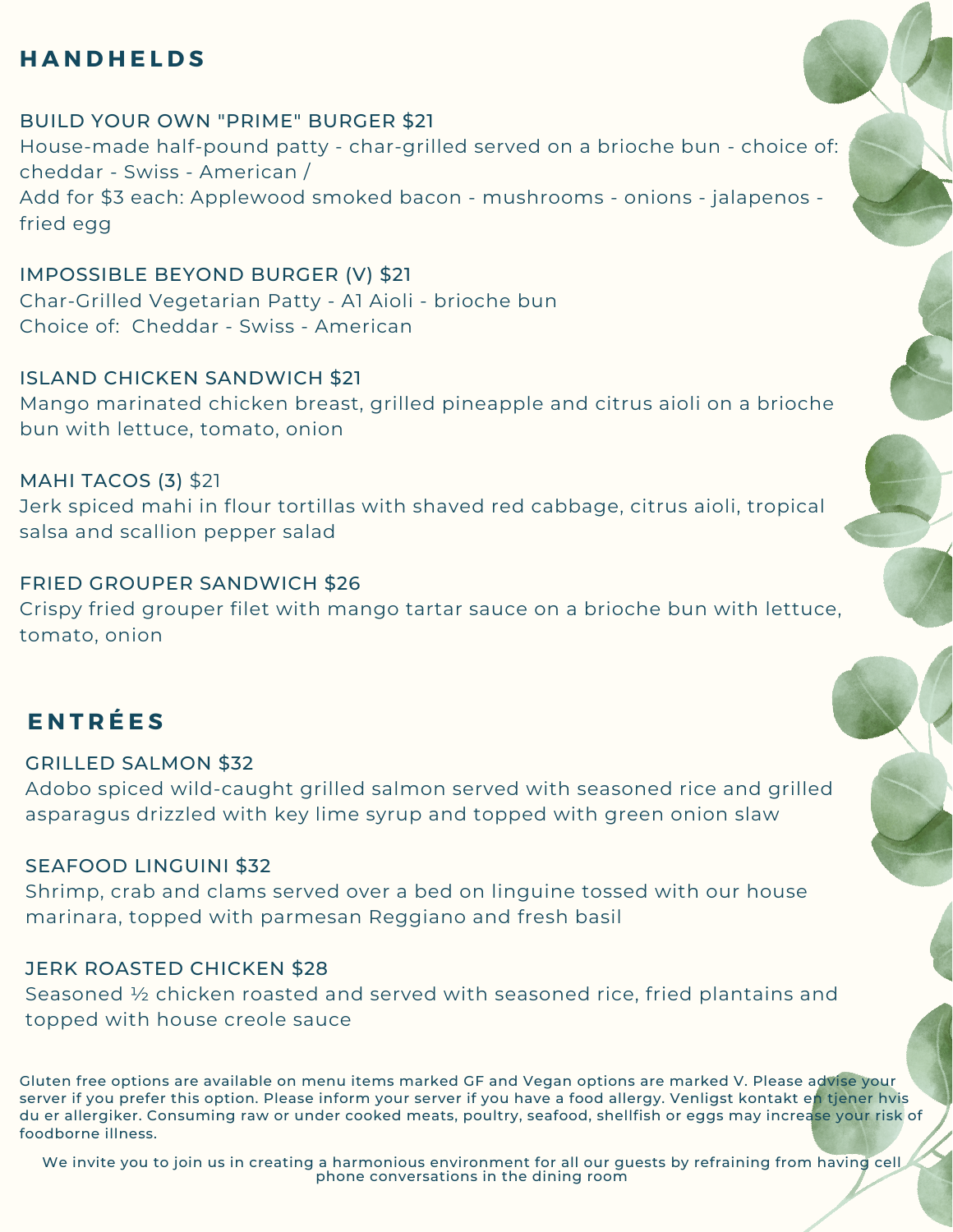## **H A N D H E L D S**

BUILD YOUR OWN "PRIME" BURGER \$21 House-made half-pound patty - char-grilled served on a brioche bun - choice of: cheddar - Swiss - American / Add for \$3 each: Applewood smoked bacon - mushrooms - onions - jalapenos fried egg

IMPOSSIBLE BEYOND BURGER (V) \$21 Char-Grilled Vegetarian Patty - A1 Aioli - brioche bun Choice of: Cheddar - Swiss - American

ISLAND CHICKEN SANDWICH \$21 Mango marinated chicken breast, grilled pineapple and citrus aioli on a brioche bun with lettuce, tomato, onion

MAHI TACOS (3) \$21 Jerk spiced mahi in flour tortillas with shaved red cabbage, citrus aioli, tropical salsa and scallion pepper salad

FRIED GROUPER SANDWICH \$26 Crispy fried grouper filet with mango tartar sauce on a brioche bun with lettuce, tomato, onion

## **E N T R É E S**

GRILLED SALMON \$32 Adobo spiced wild-caught grilled salmon served with seasoned rice and grilled asparagus drizzled with key lime syrup and topped with green onion slaw

## SEAFOOD LINGUINI \$32

Shrimp, crab and clams served over a bed on linguine tossed with our house marinara, topped with parmesan Reggiano and fresh basil

#### JERK ROASTED CHICKEN \$28

Seasoned ½ chicken roasted and served with seasoned rice, fried plantains and topped with house creole sauce

Gluten free options are available on menu items marked GF and Vegan options are marked V. Please advise your server if you prefer this option. Please inform your server if you have a food allergy. Venligst kontakt en tjener hvis du er allergiker. Consuming raw or under cooked meats, poultry, seafood, shellfish or eggs may increase your risk of foodborne illness.

We invite you to join us in creating a harmonious environment for all our guests by refraining from having cell phone conversations in the dining room